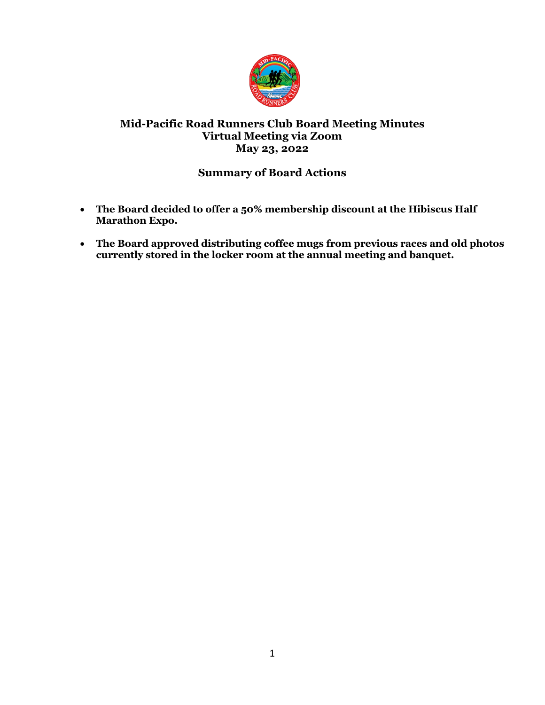

# **Mid-Pacific Road Runners Club Board Meeting Minutes Virtual Meeting via Zoom May 23, 2022**

# **Summary of Board Actions**

- **The Board decided to offer a 50% membership discount at the Hibiscus Half Marathon Expo.**
- **The Board approved distributing coffee mugs from previous races and old photos currently stored in the locker room at the annual meeting and banquet.**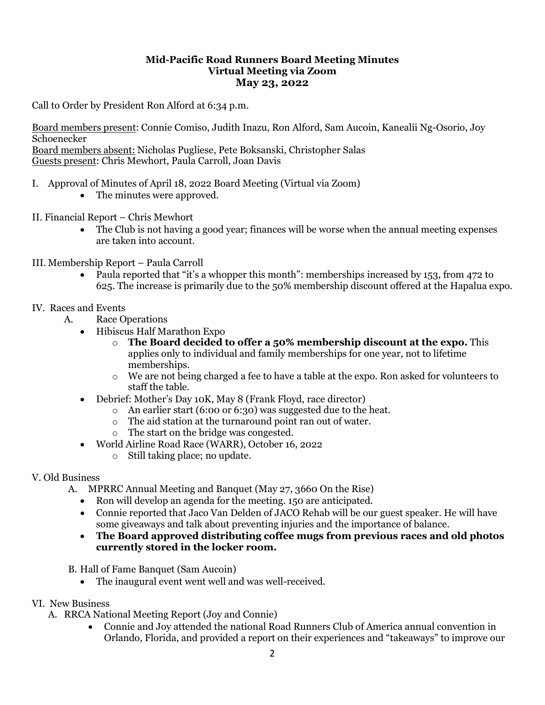## **Mid-Pacific Road Runners Board Meeting Minutes Virtual Meeting via Zoom May 23, 2022**

Call to Order by President Ron Alford at 6:34 p.m.

Board members present: Connie Comiso, Judith Inazu, Ron Alford, Sam Aucoin, Kanealii Ng-Osorio, Joy Schoenecker Board members absent: Nicholas Pugliese, Pete Boksanski, Christopher Salas Guests present: Chris Mewhort, Paula Carroll, Joan Davis

- I. Approval of Minutes of April 18, 2022 Board Meeting (Virtual via Zoom)
	- The minutes were approved.
- II. Financial Report Chris Mewhort
	- The Club is not having a good year; finances will be worse when the annual meeting expenses are taken into account.
- III. Membership Report Paula Carroll
	- Paula reported that "it's a whopper this month": memberships increased by 153, from 472 to 625. The increase is primarily due to the 50% membership discount offered at the Hapalua expo.

## IV. Races and Events

- A. Race Operations
	- Hibiscus Half Marathon Expo
		- o **The Board decided to offer a 50% membership discount at the expo.** This applies only to individual and family memberships for one year, not to lifetime memberships.
		- $\circ$  We are not being charged a fee to have a table at the expo. Ron asked for volunteers to staff the table.
	- Debrief: Mother's Day 10K, May 8 (Frank Floyd, race director)
		- o An earlier start (6:00 or 6:30) was suggested due to the heat.
		- o The aid station at the turnaround point ran out of water.
		- o The start on the bridge was congested.
	- World Airline Road Race (WARR), October 16, 2022
		- o Still taking place; no update.

## V. Old Business

- A. MPRRC Annual Meeting and Banquet (May 27, 3660 On the Rise)
	- Ron will develop an agenda for the meeting. 150 are anticipated.
	- Connie reported that Jaco Van Delden of JACO Rehab will be our guest speaker. He will have some giveaways and talk about preventing injuries and the importance of balance.
	- **The Board approved distributing coffee mugs from previous races and old photos currently stored in the locker room.**
- B. Hall of Fame Banquet (Sam Aucoin)
	- The inaugural event went well and was well-received.
- VI. New Business
	- A. RRCA National Meeting Report (Joy and Connie)
		- Connie and Joy attended the national Road Runners Club of America annual convention in Orlando, Florida, and provided a report on their experiences and "takeaways" to improve our